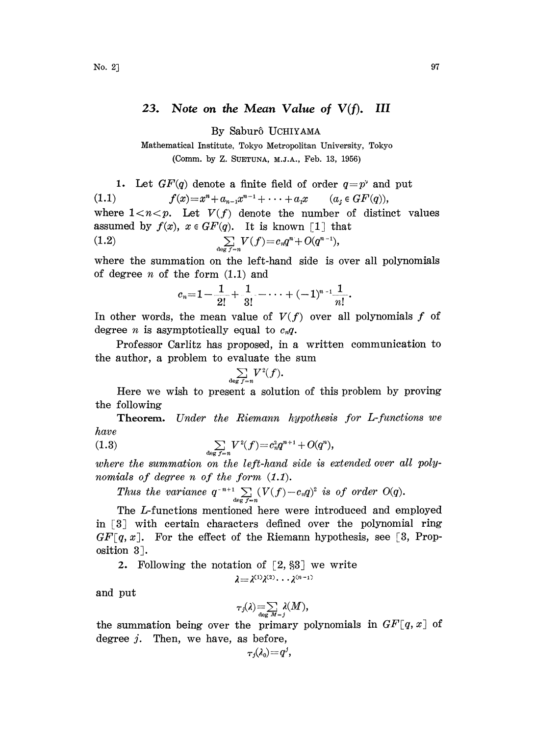## 23. Note on the Mean Value of  $V(f)$ . III

By Sabur6 UCHIYAMA

Mathematical Institute, Tokyo Metropolitan University, Tokyo (Comm. by Z. SUETUN\_, M.J.A., Feb. 13, 1956)

1. Let  $GF(q)$  denote a finite field of order  $q=p^{\gamma}$  and put (1.1)  $f(x)=x^n+a_{n-1}x^{n-1}+\cdots+a_1x \qquad (a_i\in GF(q)),$ where  $1 < n < p$ . Let  $V(f)$  denote the number of distinct values assumed by  $f(x)$ ,  $x \in GF(q)$ . It is known [1] that (1.2)  $\sum_{\deg f=n} V(f) = c_n q^n + O(q^{n-1}),$ 

where the summation on the left-hand side is over all polynomials of degree  $n$  of the form  $(1.1)$  and

$$
c_n=1-\frac{1}{2!}+\frac{1}{3!}-\cdots+(-1)^{n-1}\frac{1}{n!}.
$$

In other words, the mean value of  $V(f)$  over all polynomials f of degree *n* is asymptotically equal to  $c_n q$ .

Professor Carlitz has proposed, in a written communication to the author, a problem to evaluate the sum<br>  $\sum V^2(f)$ .

$$
\sum_{\deg f=n} V^2(f).
$$

Here we wish to present a solution of this problem by proving the following

Theorem. Under the Riemann hypothesis for L-functions we have

(1.3) 
$$
\sum_{\deg f = n} V^2(f) = c_n^2 q^{n+1} + O(q^n),
$$

where the summation on the left-hand side is extended over all polynomials of degree n of the form  $(1.1)$ .

Thus the variance 
$$
q^{-n+1} \sum_{\deg f=n} (V(f)-c_nq)^2
$$
 is of order  $O(q)$ .

The L-functions mentioned here were introduced and employed in  $\lceil 3 \rceil$  with certain characters defined over the polynomial ring  $GF[q, x]$ . For the effect of the Riemann hypothesis, see [3, Prop $osition 3.$ 

2. Following the notation of  $[2, §3]$  we write

$$
\lambda = \lambda^{(1)} \lambda^{(2)} \cdots \lambda^{(n-1)}
$$

and put

$$
\tau_j(\lambda) = \sum_{\deg M=j} \lambda(M),
$$

the summation being over the primary polynomials in  $GF[q, x]$  of degree  $j$ . Then, we have, as before,

$$
_{Tj}(\lambda _{0})\!=\!q^{j}
$$